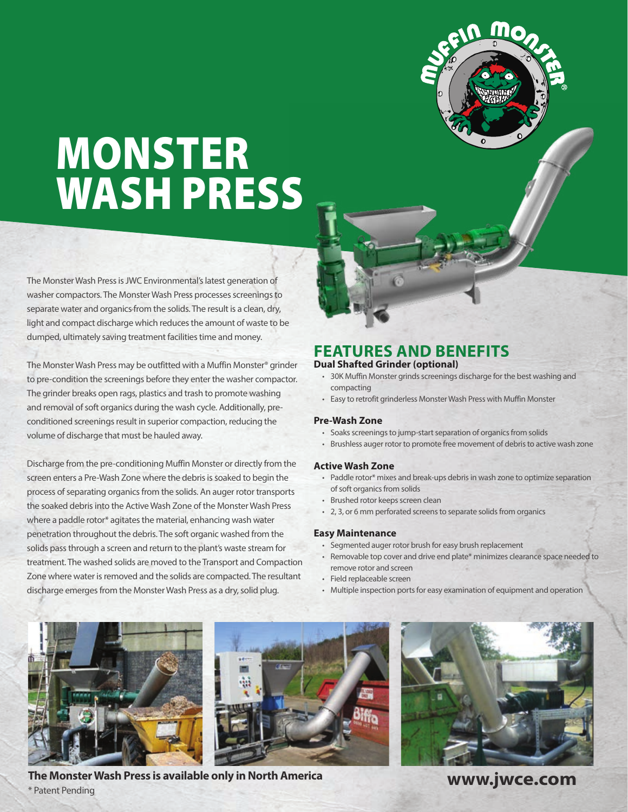# MONSTER WASH PRESS

The Monster Wash Press is JWC Environmental's latest generation of washer compactors. The Monster Wash Press processes screenings to separate water and organics from the solids. The result is a clean, dry, light and compact discharge which reduces the amount of waste to be dumped, ultimately saving treatment facilities time and money.

The Monster Wash Press may be outfitted with a Muffin Monster® grinder to pre-condition the screenings before they enter the washer compactor. The grinder breaks open rags, plastics and trash to promote washing and removal of soft organics during the wash cycle. Additionally, preconditioned screenings result in superior compaction, reducing the volume of discharge that must be hauled away.

Discharge from the pre-conditioning Muffin Monster or directly from the screen enters a Pre-Wash Zone where the debris is soaked to begin the process of separating organics from the solids. An auger rotor transports the soaked debris into the Active Wash Zone of the Monster Wash Press where a paddle rotor\* agitates the material, enhancing wash water penetration throughout the debris. The soft organic washed from the solids pass through a screen and return to the plant's waste stream for treatment. The washed solids are moved to the Transport and Compaction Zone where water is removed and the solids are compacted. The resultant discharge emerges from the Monster Wash Press as a dry, solid plug.

### **FEATURES AND BENEFITS**

#### **Dual Shafted Grinder (optional)**

- 30K Muffin Monster grinds screenings discharge for the best washing and compacting
- Easy to retrofit grinderless Monster Wash Press with Muffin Monster

#### **Pre-Wash Zone**

- Soaks screenings to jump-start separation of organics from solids
- Brushless auger rotor to promote free movement of debris to active wash zone

#### **Active Wash Zone**

- Paddle rotor\* mixes and break-ups debris in wash zone to optimize separation of soft organics from solids
- Brushed rotor keeps screen clean
- 2, 3, or 6 mm perforated screens to separate solids from organics

#### **Easy Maintenance**

- Segmented auger rotor brush for easy brush replacement
- Removable top cover and drive end plate\* minimizes clearance space needed to remove rotor and screen
- Field replaceable screen
- Multiple inspection ports for easy examination of equipment and operation





**The Monster Wash Press is available only in North America** \* Patent Pending



**www.jwce.com**